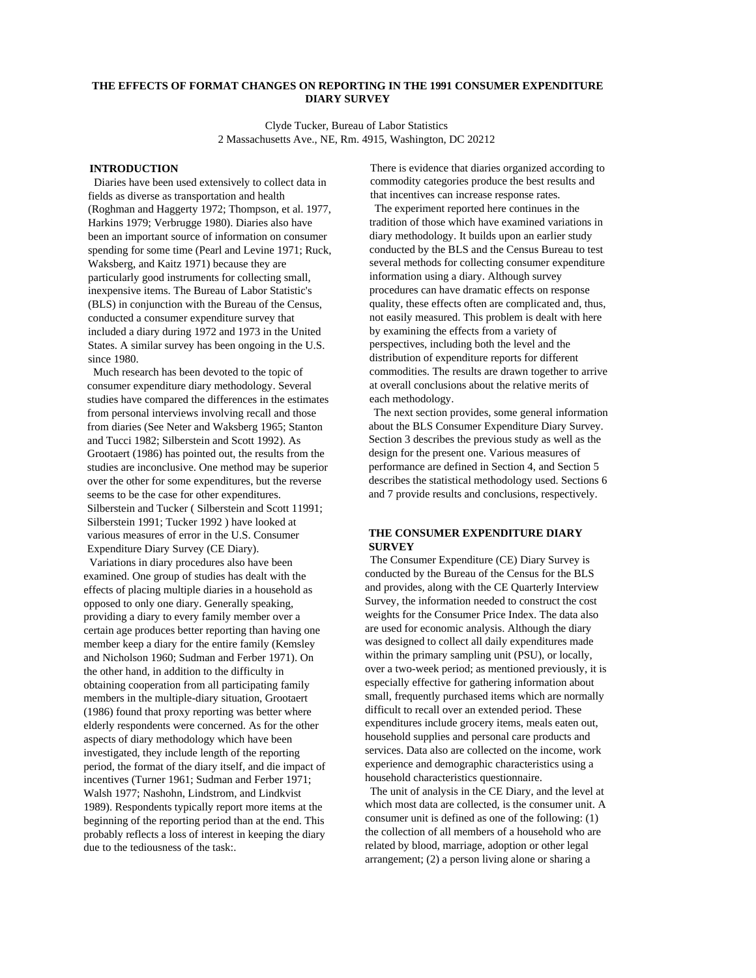# **THE EFFECTS OF FORMAT CHANGES ON REPORTING IN THE 1991 CONSUMER EXPENDITURE DIARY SURVEY**

Clyde Tucker, Bureau of Labor Statistics 2 Massachusetts Ave., NE, Rm. 4915, Washington, DC 20212

### **INTRODUCTION**

Diaries have been used extensively to collect data in fields as diverse as transportation and health (Roghman and Haggerty 1972; Thompson, et al. 1977, Harkins 1979; Verbrugge 1980). Diaries also have been an important source of information on consumer spending for some time (Pearl and Levine 1971; Ruck, Waksberg, and Kaitz 1971) because they are particularly good instruments for collecting small, inexpensive items. The Bureau of Labor Statistic's (BLS) in conjunction with the Bureau of the Census, conducted a consumer expenditure survey that included a diary during 1972 and 1973 in the United States. A similar survey has been ongoing in the U.S. since 1980.

Much research has been devoted to the topic of consumer expenditure diary methodology. Several studies have compared the differences in the estimates from personal interviews involving recall and those from diaries (See Neter and Waksberg 1965; Stanton and Tucci 1982; Silberstein and Scott 1992). As Grootaert (1986) has pointed out, the results from the studies are inconclusive. One method may be superior over the other for some expenditures, but the reverse seems to be the case for other expenditures. Silberstein and Tucker ( Silberstein and Scott 11991; Silberstein 1991; Tucker 1992 ) have looked at various measures of error in the U.S. Consumer Expenditure Diary Survey (CE Diary).

Variations in diary procedures also have been examined. One group of studies has dealt with the effects of placing multiple diaries in a household as opposed to only one diary. Generally speaking, providing a diary to every family member over a certain age produces better reporting than having one member keep a diary for the entire family (Kemsley and Nicholson 1960; Sudman and Ferber 1971). On the other hand, in addition to the difficulty in obtaining cooperation from all participating family members in the multiple-diary situation, Grootaert (1986) found that proxy reporting was better where elderly respondents were concerned. As for the other aspects of diary methodology which have been investigated, they include length of the reporting period, the format of the diary itself, and die impact of incentives (Turner 1961; Sudman and Ferber 1971; Walsh 1977; Nashohn, Lindstrom, and Lindkvist 1989). Respondents typically report more items at the beginning of the reporting period than at the end. This probably reflects a loss of interest in keeping the diary due to the tediousness of the task:.

There is evidence that diaries organized according to commodity categories produce the best results and that incentives can increase response rates.

The experiment reported here continues in the tradition of those which have examined variations in diary methodology. It builds upon an earlier study conducted by the BLS and the Census Bureau to test several methods for collecting consumer expenditure information using a diary. Although survey procedures can have dramatic effects on response quality, these effects often are complicated and, thus, not easily measured. This problem is dealt with here by examining the effects from a variety of perspectives, including both the level and the distribution of expenditure reports for different commodities. The results are drawn together to arrive at overall conclusions about the relative merits of each methodology.

The next section provides, some general information about the BLS Consumer Expenditure Diary Survey. Section 3 describes the previous study as well as the design for the present one. Various measures of performance are defined in Section 4, and Section 5 describes the statistical methodology used. Sections 6 and 7 provide results and conclusions, respectively.

## **THE CONSUMER EXPENDITURE DIARY SURVEY**

The Consumer Expenditure (CE) Diary Survey is conducted by the Bureau of the Census for the BLS and provides, along with the CE Quarterly Interview Survey, the information needed to construct the cost weights for the Consumer Price Index. The data also are used for economic analysis. Although the diary was designed to collect all daily expenditures made within the primary sampling unit (PSU), or locally, over a two-week period; as mentioned previously, it is especially effective for gathering information about small, frequently purchased items which are normally difficult to recall over an extended period. These expenditures include grocery items, meals eaten out, household supplies and personal care products and services. Data also are collected on the income, work experience and demographic characteristics using a household characteristics questionnaire.

The unit of analysis in the CE Diary, and the level at which most data are collected, is the consumer unit. A consumer unit is defined as one of the following: (1) the collection of all members of a household who are related by blood, marriage, adoption or other legal arrangement; (2) a person living alone or sharing a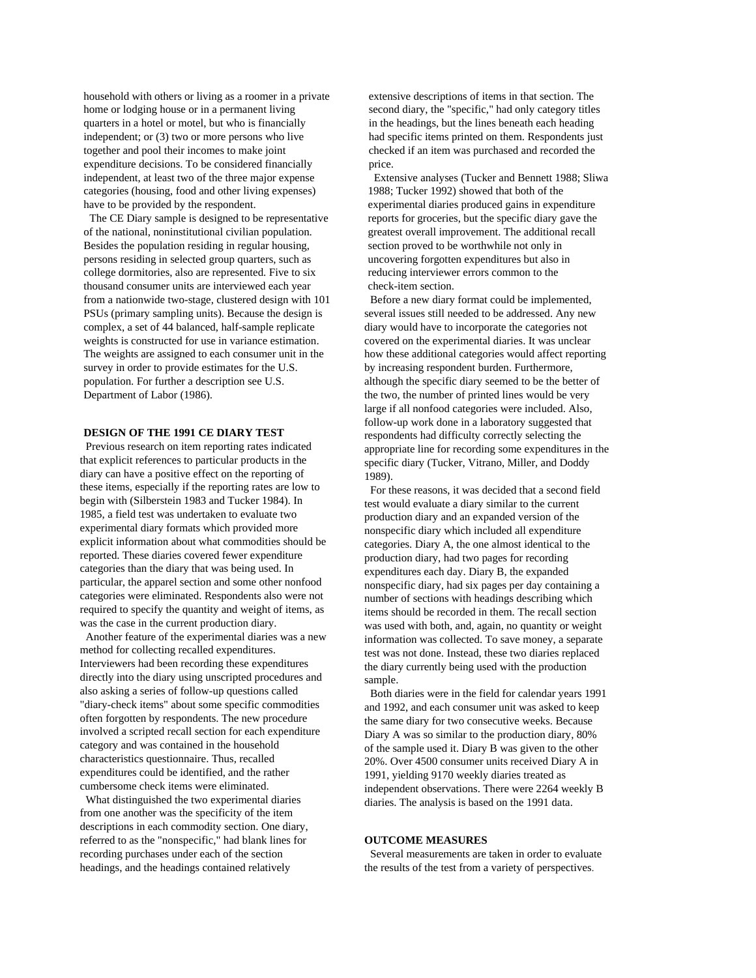household with others or living as a roomer in a private home or lodging house or in a permanent living quarters in a hotel or motel, but who is financially independent; or (3) two or more persons who live together and pool their incomes to make joint expenditure decisions. To be considered financially independent, at least two of the three major expense categories (housing, food and other living expenses) have to be provided by the respondent.

The CE Diary sample is designed to be representative of the national, noninstitutional civilian population. Besides the population residing in regular housing, persons residing in selected group quarters, such as college dormitories, also are represented. Five to six thousand consumer units are interviewed each year from a nationwide two-stage, clustered design with 101 PSUs (primary sampling units). Because the design is complex, a set of 44 balanced, half-sample replicate weights is constructed for use in variance estimation. The weights are assigned to each consumer unit in the survey in order to provide estimates for the U.S. population. For further a description see U.S. Department of Labor (1986).

### **DESIGN OF THE 1991 CE DIARY TEST**

Previous research on item reporting rates indicated that explicit references to particular products in the diary can have a positive effect on the reporting of these items, especially if the reporting rates are low to begin with (Silberstein 1983 and Tucker 1984). In 1985, a field test was undertaken to evaluate two experimental diary formats which provided more explicit information about what commodities should be reported. These diaries covered fewer expenditure categories than the diary that was being used. In particular, the apparel section and some other nonfood categories were eliminated. Respondents also were not required to specify the quantity and weight of items, as was the case in the current production diary.

Another feature of the experimental diaries was a new method for collecting recalled expenditures. Interviewers had been recording these expenditures directly into the diary using unscripted procedures and also asking a series of follow-up questions called "diary-check items" about some specific commodities often forgotten by respondents. The new procedure involved a scripted recall section for each expenditure category and was contained in the household characteristics questionnaire. Thus, recalled expenditures could be identified, and the rather cumbersome check items were eliminated.

What distinguished the two experimental diaries from one another was the specificity of the item descriptions in each commodity section. One diary, referred to as the "nonspecific," had blank lines for recording purchases under each of the section headings, and the headings contained relatively

extensive descriptions of items in that section. The second diary, the "specific," had only category titles in the headings, but the lines beneath each heading had specific items printed on them. Respondents just checked if an item was purchased and recorded the price.

Extensive analyses (Tucker and Bennett 1988; Sliwa 1988; Tucker 1992) showed that both of the experimental diaries produced gains in expenditure reports for groceries, but the specific diary gave the greatest overall improvement. The additional recall section proved to be worthwhile not only in uncovering forgotten expenditures but also in reducing interviewer errors common to the check-item section.

Before a new diary format could be implemented, several issues still needed to be addressed. Any new diary would have to incorporate the categories not covered on the experimental diaries. It was unclear how these additional categories would affect reporting by increasing respondent burden. Furthermore, although the specific diary seemed to be the better of the two, the number of printed lines would be very large if all nonfood categories were included. Also, follow-up work done in a laboratory suggested that respondents had difficulty correctly selecting the appropriate line for recording some expenditures in the specific diary (Tucker, Vitrano, Miller, and Doddy 1989).

For these reasons, it was decided that a second field test would evaluate a diary similar to the current production diary and an expanded version of the nonspecific diary which included all expenditure categories. Diary A, the one almost identical to the production diary, had two pages for recording expenditures each day. Diary B, the expanded nonspecific diary, had six pages per day containing a number of sections with headings describing which items should be recorded in them. The recall section was used with both, and, again, no quantity or weight information was collected. To save money, a separate test was not done. Instead, these two diaries replaced the diary currently being used with the production sample.

Both diaries were in the field for calendar years 1991 and 1992, and each consumer unit was asked to keep the same diary for two consecutive weeks. Because Diary A was so similar to the production diary, 80% of the sample used it. Diary B was given to the other 20%. Over 4500 consumer units received Diary A in 1991, yielding 9170 weekly diaries treated as independent observations. There were 2264 weekly B diaries. The analysis is based on the 1991 data.

### **OUTCOME MEASURES**

Several measurements are taken in order to evaluate the results of the test from a variety of perspectives.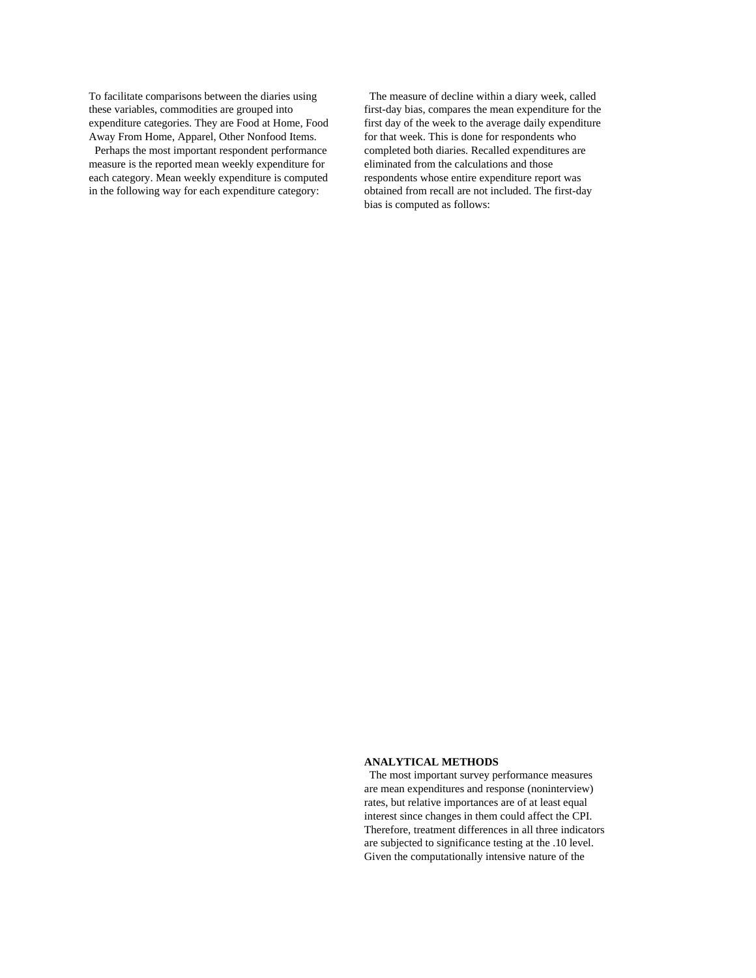To facilitate comparisons between the diaries using these variables, commodities are grouped into expenditure categories. They are Food at Home, Food Away From Home, Apparel, Other Nonfood Items.

Perhaps the most important respondent performance measure is the reported mean weekly expenditure for each category. Mean weekly expenditure is computed in the following way for each expenditure category:

The measure of decline within a diary week, called first-day bias, compares the mean expenditure for the first day of the week to the average daily expenditure for that week. This is done for respondents who completed both diaries. Recalled expenditures are eliminated from the calculations and those respondents whose entire expenditure report was obtained from recall are not included. The first-day bias is computed as follows:

### **ANALYTICAL METHODS**

The most important survey performance measures are mean expenditures and response (noninterview) rates, but relative importances are of at least equal interest since changes in them could affect the CPI. Therefore, treatment differences in all three indicators are subjected to significance testing at the .10 level. Given the computationally intensive nature of the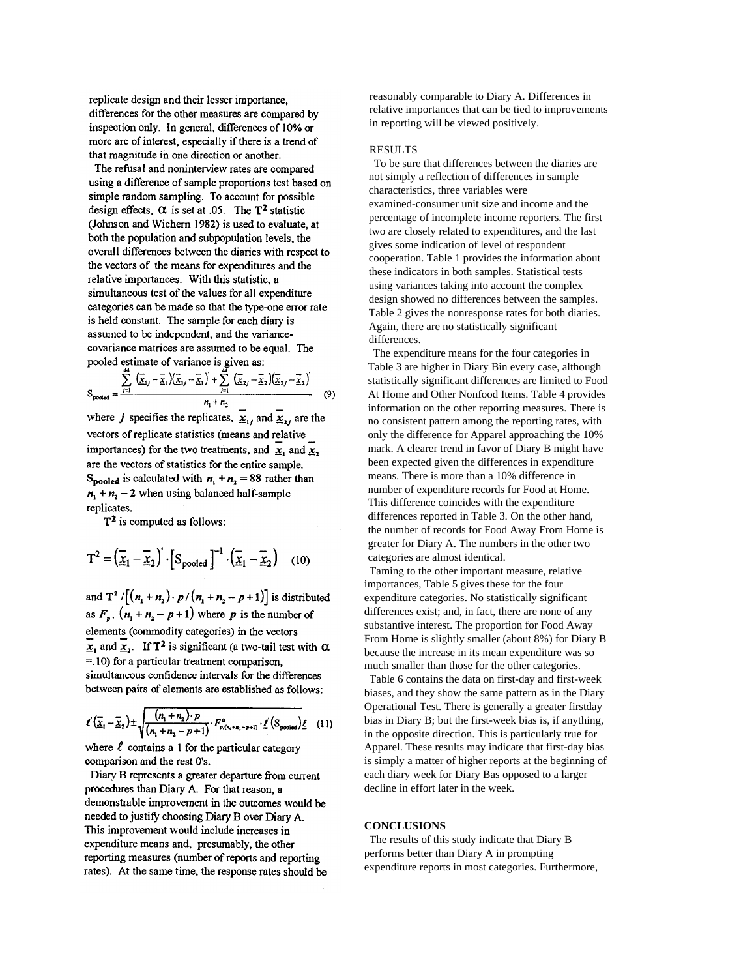replicate design and their lesser importance. differences for the other measures are compared by inspection only. In general, differences of 10% or more are of interest, especially if there is a trend of that magnitude in one direction or another.

The refusal and noninterview rates are compared using a difference of sample proportions test based on simple random sampling. To account for possible design effects,  $\alpha$  is set at .05. The T<sup>2</sup> statistic (Johnson and Wichern 1982) is used to evaluate, at both the population and subpopulation levels, the overall differences between the diaries with respect to the vectors of the means for expenditures and the relative importances. With this statistic, a simultaneous test of the values for all expenditure categories can be made so that the type-one error rate is held constant. The sample for each diary is assumed to be independent, and the variancecovariance matrices are assumed to be equal. The pooled estimate of variance is given as:

$$
S_{\text{pooled}} = \frac{\sum_{j=1}^{44} (\overline{x}_{1j} - \overline{x}_{1})(\overline{x}_{1j} - \overline{x}_{1}) + \sum_{j=1}^{44} (\overline{x}_{2j} - \overline{x}_{2})(\overline{x}_{2j} - \overline{x}_{2})}{n_{1} + n_{2}}
$$
(9)

where j specifies the replicates,  $\underline{x}_{1j}$  and  $\underline{x}_{2j}$  are the vectors of replicate statistics (means and relative importances) for the two treatments, and  $\overline{x}_1$  and  $\overline{x}_2$ , are the vectors of statistics for the entire sample. S<sub>pooled</sub> is calculated with  $n_1 + n_2 = 88$  rather than  $n_1 + n_2 - 2$  when using balanced half-sample replicates.

 $T<sup>2</sup>$  is computed as follows:

$$
T^{2} = (\overline{\underline{x}}_{1} - \overline{\underline{x}}_{2})^{T} \cdot [S_{pooled}]^{-1} \cdot (\overline{\underline{x}}_{1} - \overline{\underline{x}}_{2}) \quad (10)
$$

and  $T^2/[(n_1+n_2)\cdot p/(n_1+n_2-p+1)]$  is distributed as  $F_p$ ,  $(n_1 + n_2 - p + 1)$  where p is the number of elements (commodity categories) in the vectors  $\underline{x}_1$  and  $\underline{x}_2$ . If T<sup>2</sup> is significant (a two-tail test with  $\alpha$  $=$  10) for a particular treatment comparison, simultaneous confidence intervals for the differences between pairs of elements are established as follows:

$$
\ell\left(\overline{\underline{x}}_1-\overline{\underline{x}}_2\right)\pm\sqrt{\frac{(n_1+n_2)\cdot p}{(n_1+n_2-p+1)}\cdot F_{p,(n_1+n_2-p+1)}^{\alpha}\cdot \underline{\ell}\left(S_{\text{pooled}}\right)\underline{\ell}}\quad(11)
$$

where  $\ell$  contains a 1 for the particular category comparison and the rest O's.

Diary B represents a greater departure from current procedures than Diary A. For that reason, a demonstrable improvement in the outcomes would be needed to justify choosing Diary B over Diary A. This improvement would include increases in expenditure means and, presumably, the other reporting measures (number of reports and reporting rates). At the same time, the response rates should be reasonably comparable to Diary A. Differences in relative importances that can be tied to improvements in reporting will be viewed positively.

## RESULTS

To be sure that differences between the diaries are not simply a reflection of differences in sample characteristics, three variables were examined-consumer unit size and income and the percentage of incomplete income reporters. The first two are closely related to expenditures, and the last gives some indication of level of respondent cooperation. Table 1 provides the information about these indicators in both samples. Statistical tests using variances taking into account the complex design showed no differences between the samples. Table 2 gives the nonresponse rates for both diaries. Again, there are no statistically significant differences.

The expenditure means for the four categories in Table 3 are higher in Diary Bin every case, although statistically significant differences are limited to Food At Home and Other Nonfood Items. Table 4 provides information on the other reporting measures. There is no consistent pattern among the reporting rates, with only the difference for Apparel approaching the 10% mark. A clearer trend in favor of Diary B might have been expected given the differences in expenditure means. There is more than a 10% difference in number of expenditure records for Food at Home. This difference coincides with the expenditure differences reported in Table 3. On the other hand, the number of records for Food Away From Home is greater for Diary A. The numbers in the other two categories are almost identical.

Taming to the other important measure, relative importances, Table 5 gives these for the four expenditure categories. No statistically significant differences exist; and, in fact, there are none of any substantive interest. The proportion for Food Away From Home is slightly smaller (about 8%) for Diary B because the increase in its mean expenditure was so much smaller than those for the other categories.

Table 6 contains the data on first-day and first-week biases, and they show the same pattern as in the Diary Operational Test. There is generally a greater firstday bias in Diary B; but the first-week bias is, if anything, in the opposite direction. This is particularly true for Apparel. These results may indicate that first-day bias is simply a matter of higher reports at the beginning of each diary week for Diary Bas opposed to a larger decline in effort later in the week.

#### **CONCLUSIONS**

The results of this study indicate that Diary B performs better than Diary A in prompting expenditure reports in most categories. Furthermore,